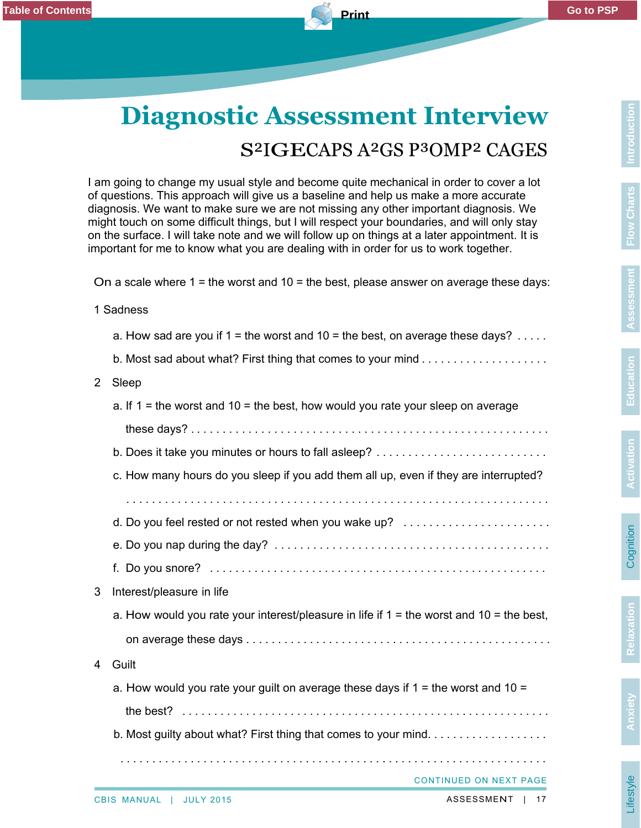## **Diagnostic Assessment Interview** S²IGECAPS A²GS P³OMP² CAGES

I am going to change my usual style and become quite mechanical in order to cover a lot of questions. This approach will give us a baseline and help us make a more accurate diagnosis. We want to make sure we are not missing any other important diagnosis. We might touch on some difficult things, but I will respect your boundaries, and will only stay on the surface. I will take note and we will follow up on things at a later appointment. It is important for me to know what you are dealing with in order for us to work together.

On a scale where  $1$  = the worst and  $10$  = the best, please answer on average these days:

1 Sadness

a. How sad are you if  $1 =$  the worst and  $10 =$  the best, on average these days?  $\dots$ 

b. Most sad about what? First thing that comes to your mind . . . . . . . . . . . . . . . . . . . .

## 2 Sleep

- a. If  $1 =$  the worst and  $10 =$  the best, how would you rate your sleep on average
- these days? . . . . . . . . . . . . . . . . . . . . . . . . . . . . . . . . . . . . . . . . . . . . . . . . . . . . . . . . b. Does it take you minutes or hours to fall asleep? . . . . . . . . . . . . . . . . . . . . . . . . . . .
- c. How many hours do you sleep if you add them all up, even if they are interrupted?
- . . . . . . . . . . . . . . . . . . . . . . . . . . . . . . . . . . . . . . . . . . . . . . . . . . . . . . . . . . . . . . . . . .
- d. Do you feel rested or not rested when you wake up? .........................
- e. Do you nap during the day? . . . . . . . . . . . . . . . . . . . . . . . . . . . . . . . . . . . . . . . . . . . f. Do you snore? . . . . . . . . . . . . . . . . . . . . . . . . . . . . . . . . . . . . . . . . . . . . . . . . . . . . .
- 3 Interest/pleasure in life
	- a. How would you rate your interest/pleasure in life if  $1 =$  the worst and  $10 =$  the best,
	- on average these days . . . . . . . . . . . . . . . . . . . . . . . . . . . . . . . . . . . . . . . . . . . . . . . .

## 4 Guilt

- a. How would you rate your guilt on average these days if  $1 =$  the worst and  $10 =$ the best? . . . . . . . . . . . . . . . . . . . . . . . . . . . . . . . . . . . . . . . . . . . . . . . . . . . . . . . . . .
- b. Most guilty about what? First thing that comes to your mind. . . . . . . . . . . . . . . . . .

CONTINUED ON NEXT PAGE

. . . . . . . . . . . . . . . . . . . . . . . . . . . . . . . . . . . . . . . . . . . . . . . . . . . . . . . . . . . . . . . . . . .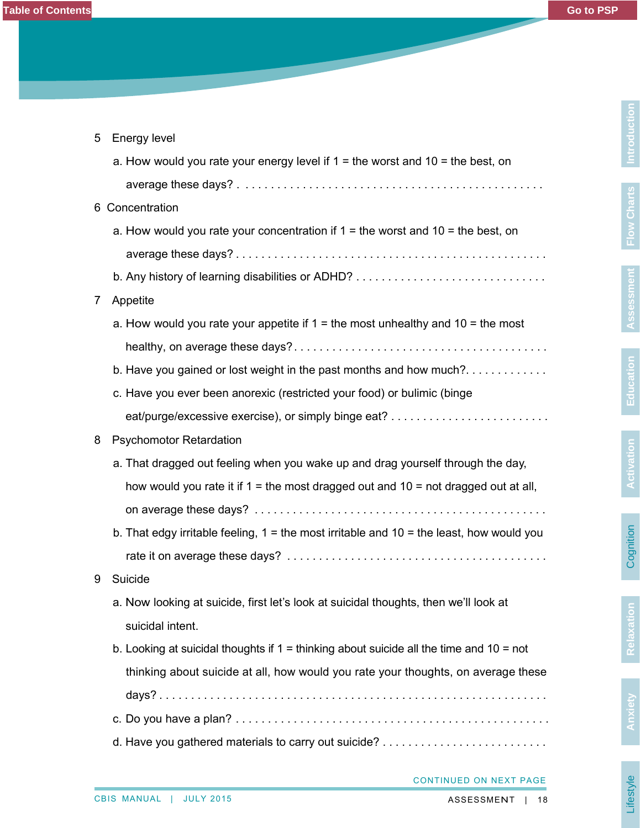| 5 | <b>Energy level</b>                                                                          |  |  |
|---|----------------------------------------------------------------------------------------------|--|--|
|   | a. How would you rate your energy level if $1 =$ the worst and $10 =$ the best, on           |  |  |
|   |                                                                                              |  |  |
| 6 | Concentration                                                                                |  |  |
|   | a. How would you rate your concentration if $1 =$ the worst and $10 =$ the best, on          |  |  |
|   |                                                                                              |  |  |
|   |                                                                                              |  |  |
| 7 | Appetite                                                                                     |  |  |
|   | a. How would you rate your appetite if $1 =$ the most unhealthy and $10 =$ the most          |  |  |
|   |                                                                                              |  |  |
|   | b. Have you gained or lost weight in the past months and how much?                           |  |  |
|   | c. Have you ever been anorexic (restricted your food) or bulimic (binge                      |  |  |
|   |                                                                                              |  |  |
| 8 | <b>Psychomotor Retardation</b>                                                               |  |  |
|   | a. That dragged out feeling when you wake up and drag yourself through the day,              |  |  |
|   | how would you rate it if $1 =$ the most dragged out and $10 =$ not dragged out at all,       |  |  |
|   |                                                                                              |  |  |
|   | b. That edgy irritable feeling, $1 =$ the most irritable and $10 =$ the least, how would you |  |  |
|   |                                                                                              |  |  |
| 9 | Suicide                                                                                      |  |  |
|   | a. Now looking at suicide, first let's look at suicidal thoughts, then we'll look at         |  |  |
|   | suicidal intent.                                                                             |  |  |
|   | b. Looking at suicidal thoughts if $1 =$ thinking about suicide all the time and $10 =$ not  |  |  |
|   | thinking about suicide at all, how would you rate your thoughts, on average these            |  |  |
|   |                                                                                              |  |  |
|   |                                                                                              |  |  |
|   |                                                                                              |  |  |
|   |                                                                                              |  |  |

CONTINUED ON NEXT PAGE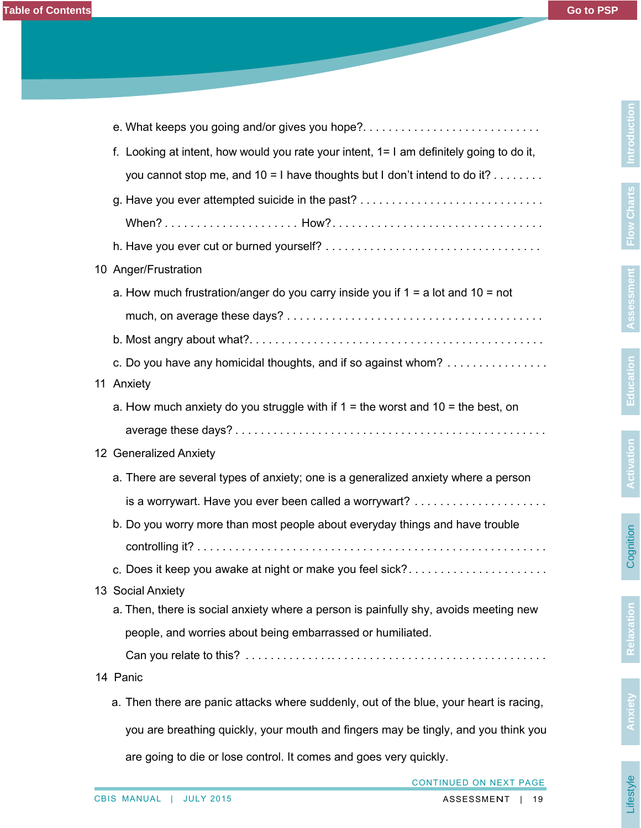**Introduction**

**Flow Charts**

**Assessment**

Assessment

**Education**

**Activation**

**Cognition** 

**Relaxation**

| f. Looking at intent, how would you rate your intent, 1= I am definitely going to do it, |
|------------------------------------------------------------------------------------------|
| you cannot stop me, and $10 = 1$ have thoughts but I don't intend to do it?              |
| g. Have you ever attempted suicide in the past?                                          |
|                                                                                          |
|                                                                                          |
| 10 Anger/Frustration                                                                     |
| a. How much frustration/anger do you carry inside you if $1 = a$ lot and $10 = not$      |
|                                                                                          |
|                                                                                          |
| c. Do you have any homicidal thoughts, and if so against whom?                           |
| 11 Anxiety                                                                               |
| a. How much anxiety do you struggle with if $1 =$ the worst and $10 =$ the best, on      |
|                                                                                          |
| 12 Generalized Anxiety                                                                   |
| a. There are several types of anxiety; one is a generalized anxiety where a person       |
|                                                                                          |
| b. Do you worry more than most people about everyday things and have trouble             |
|                                                                                          |
| c. Does it keep you awake at night or make you feel sick?                                |
| 13 Social Anxiety                                                                        |
| a. Then, there is social anxiety where a person is painfully shy, avoids meeting new     |
| people, and worries about being embarrassed or humiliated.                               |
|                                                                                          |
| 14 Panic                                                                                 |
| a. Then there are panic attacks where suddenly, out of the blue, your heart is racing,   |
| you are breathing quickly, your mouth and fingers may be tingly, and you think you       |
|                                                                                          |

are going to die or lose control. It comes and goes very quickly.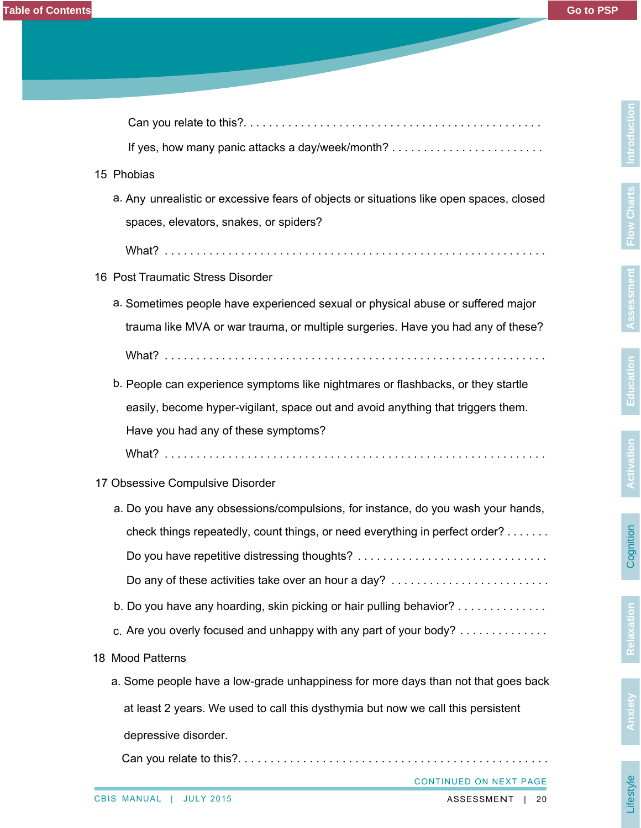| 15 Phobias                                                                              |
|-----------------------------------------------------------------------------------------|
| a. Any unrealistic or excessive fears of objects or situations like open spaces, closed |
| spaces, elevators, snakes, or spiders?                                                  |
|                                                                                         |
| 16 Post Traumatic Stress Disorder                                                       |
| a. Sometimes people have experienced sexual or physical abuse or suffered major         |
| trauma like MVA or war trauma, or multiple surgeries. Have you had any of these?        |
|                                                                                         |
| b. People can experience symptoms like nightmares or flashbacks, or they startle        |
| easily, become hyper-vigilant, space out and avoid anything that triggers them.         |
| Have you had any of these symptoms?                                                     |
|                                                                                         |
| 17 Obsessive Compulsive Disorder                                                        |
| a. Do you have any obsessions/compulsions, for instance, do you wash your hands,        |
| check things repeatedly, count things, or need everything in perfect order?             |
| Do you have repetitive distressing thoughts?                                            |
| Do any of these activities take over an hour a day?                                     |
| b. Do you have any hoarding, skin picking or hair pulling behavior?                     |
| c. Are you overly focused and unhappy with any part of your body?                       |
| 18 Mood Patterns                                                                        |
| a. Some people have a low-grade unhappiness for more days than not that goes back       |
| at least 2 years. We used to call this dysthymia but now we call this persistent        |
| depressive disorder.                                                                    |
|                                                                                         |

Can you relate to this?. . . . . . . . . . . . . . . . . . . . . . . . . . . . . . . . . . . . . . . . . . . . . . .

CONTINUED ON NEXT PAGE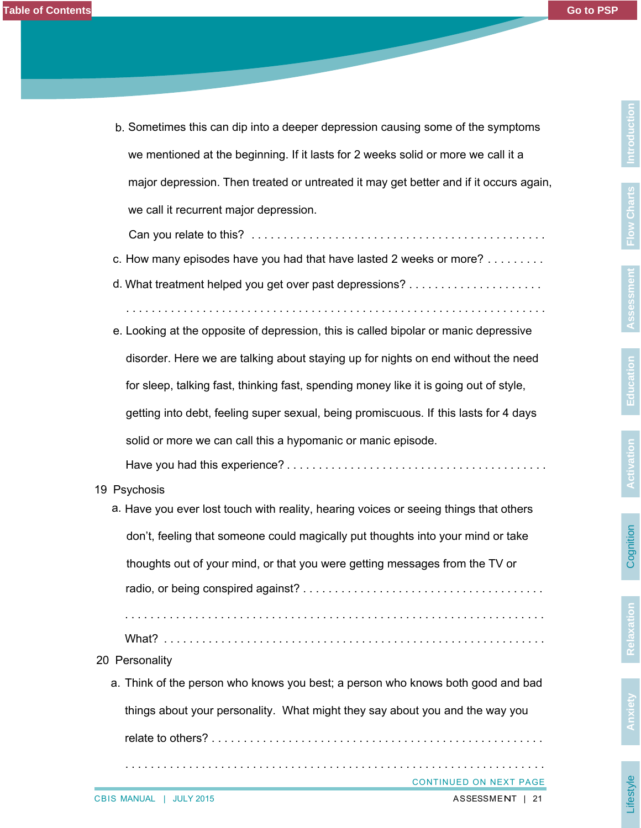Lifestyle

| b. Sometimes this can dip into a deeper depression causing some of the symptoms       |
|---------------------------------------------------------------------------------------|
| we mentioned at the beginning. If it lasts for 2 weeks solid or more we call it a     |
| major depression. Then treated or untreated it may get better and if it occurs again, |
| we call it recurrent major depression.                                                |

Can you relate to this? . . . . . . . . . . . . . . . . . . . . . . . . . . . . . . . . . . . . . . . . . . . . . .

c. How many episodes have you had that have lasted 2 weeks or more? . . . . . . . .

d. What treatment helped you get over past depressions? . . . . . . . . . . . . . . . . . . . . .

. . . . . . . . . . . . . . . . . . . . . . . . . . . . . . . . . . . . . . . . . . . . . . . . . . . . . . . . . . . . . . . . . .

- e. Looking at the opposite of depression, this is called bipolar or manic depressive disorder. Here we are talking about staying up for nights on end without the need for sleep, talking fast, thinking fast, spending money like it is going out of style, getting into debt, feeling super sexual, being promiscuous. If this lasts for 4 days solid or more we can call this a hypomanic or manic episode. Have you had this experience? . . . . . . . . . . . . . . . . . . . . . . . . . . . . . . . . . . . . . . . . .
- 19 Psychosis
	- a. Have you ever lost touch with reality, hearing voices or seeing things that others don't, feeling that someone could magically put thoughts into your mind or take thoughts out of your mind, or that you were getting messages from the TV or radio, or being conspired against? . . . . . . . . . . . . . . . . . . . . . . . . . . . . . . . . . . . . . . . . . . . . . . . . . . . . . . . . . . . . . . . . . . . . . . . . . . . . . . . . . . . . . . . . . . . . . . . . . . . . . . . .
- What? . . . . . . . . . . . . . . . . . . . . . . . . . . . . . . . . . . . . . . . . . . . . . . . . . . . . . . . . . . . .
- 20 Personality
	- a. Think of the person who knows you best; a person who knows both good and bad

things about your personality. What might they say about you and the way you

. . . . . . . . . . . . . . . . . . . . . . . . . . . . . . . . . . . . . . . . . . . . . . . . . . . . . . . . . . . . . . . . . .

relate to others? . . . . . . . . . . . . . . . . . . . . . . . . . . . . . . . . . . . . . . . . . . . . . . . . . . . .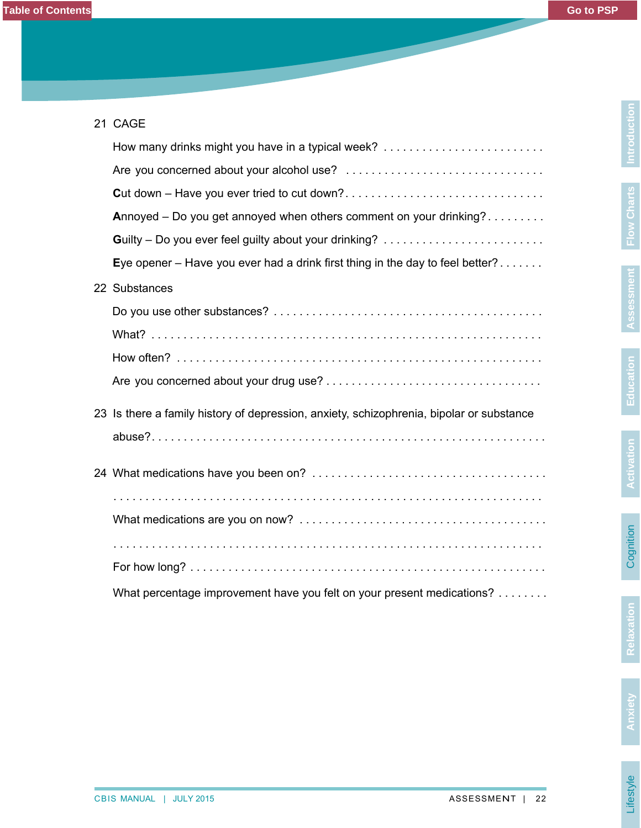| 21 CAGE |                                                                                          |  |
|---------|------------------------------------------------------------------------------------------|--|
|         | How many drinks might you have in a typical week?                                        |  |
|         |                                                                                          |  |
|         |                                                                                          |  |
|         | Annoyed – Do you get annoyed when others comment on your drinking?                       |  |
|         |                                                                                          |  |
|         | Eye opener – Have you ever had a drink first thing in the day to feel better?            |  |
|         | 22 Substances                                                                            |  |
|         |                                                                                          |  |
|         |                                                                                          |  |
|         |                                                                                          |  |
|         |                                                                                          |  |
|         | 23 Is there a family history of depression, anxiety, schizophrenia, bipolar or substance |  |
|         |                                                                                          |  |
|         |                                                                                          |  |
|         |                                                                                          |  |
|         |                                                                                          |  |
|         |                                                                                          |  |
|         |                                                                                          |  |
|         | What percentage improvement have you felt on your present medications?                   |  |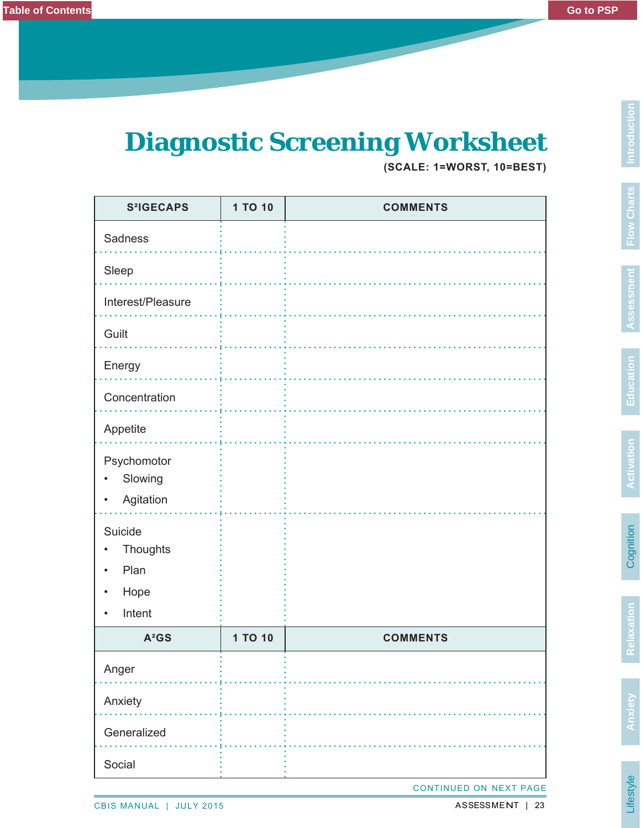## **Diagnostic Screening Worksheet**

**(SCALE: 1=WORST, 10=BEST)**

| <b>S</b> <sup>2</sup> IGECAPS                                   | 1 TO 10 | <b>COMMENTS</b> |  |
|-----------------------------------------------------------------|---------|-----------------|--|
| Sadness                                                         |         |                 |  |
| Sleep                                                           |         |                 |  |
| Interest/Pleasure                                               |         |                 |  |
| Guilt                                                           |         |                 |  |
| Energy                                                          |         |                 |  |
| Concentration                                                   |         |                 |  |
| Appetite                                                        |         |                 |  |
| Psychomotor<br>Slowing<br>Agitation<br>$\bullet$                |         |                 |  |
| Suicide<br>Thoughts<br>Plan<br>$\bullet$<br>Hope<br>٠<br>Intent |         |                 |  |
| $A^2GS$                                                         | 1 TO 10 | <b>COMMENTS</b> |  |
| Anger                                                           |         |                 |  |
| Anxiety                                                         |         |                 |  |
| Generalized                                                     |         |                 |  |
| Social                                                          |         |                 |  |
| CONTINUED ON NEXT PAGE                                          |         |                 |  |